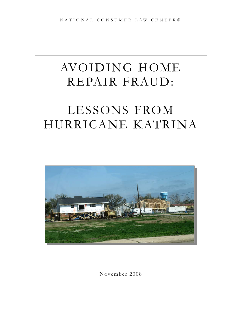# AVOIDING HOME REPAIR FRAUD:

# LESSONS FROM HURRICANE KATRINA



November 2008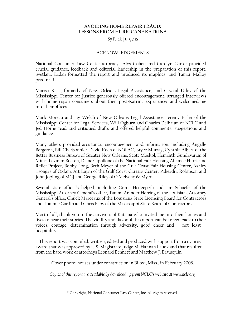#### **AVOIDING HOME REPAIR FRAUD: LESSONS FROM HURRICANE KATRINA**

#### By Rick Jurgens

#### ACKNOWLEDGEMENTS

National Consumer Law Center attorneys Alys Cohen and Carolyn Carter provided crucial guidance, feedback and editorial leadership in the preparation of this report. Svetlana Ladan formatted the report and produced its graphics, and Tamar Malloy proofread it.

Marisa Katz, formerly of New Orleans Legal Assistance, and Crystal Utley of the Mississippi Center for Justice generously offered encouragement, arranged interviews with home repair consumers about their post-Katrina experiences and welcomed me into their offices.

Mark Moreau and Jay Welch of New Orleans Legal Assistance, Jeremy Eisler of the Mississippi Center for Legal Services, Will Ogburn and Charles Delbaum of NCLC and Jed Horne read and critiqued drafts and offered helpful comments, suggestions and guidance.

Many others provided assistance, encouragement and information, including Angelle Bergeron, Bill Cherbonnier, David Koen of NOLAC, Bryce Murray, Cynthia Albert of the Better Business Bureau of Greater New Orleans, Scott Moskol, Hemanth Gundavaram of Mintz Levin in Boston, Diane Cipollone of the National Fair Housing Alliance Hurricane Relief Project, Bobby Long, Beth Meyer of the Gulf Coast Fair Housing Center, Ashley Tsongas of Oxfam, Art Lujan of the Gulf Coast Careers Center, Paheadra Robinson and John Jopling of MCJ and George Riley of O'Melveny & Myers.

Several state officials helped, including Grant Hedgepeth and Jan Schaefer of the Mississippi Attorney General's office, Tammi Arender Herring of the Louisiana Attorney General's office, Chuck Marceaux of the Louisiana State Licensing Board for Contractors and Tommie Cardin and Chris Espy of the Mississippi State Board of Contractors.

Most of all, thank you to the survivors of Katrina who invited me into their homes and lives to hear their stories. The vitality and flavor of this report can be traced back to their voices, courage, determination through adversity, good cheer and – not least – hospitality.

This report was compiled, written, edited and produced with support from a cy pres award that was approved by U.S. Magistrate Judge M. Hannah Lauck and that resulted from the hard work of attorneys Leonard Bennett and Matthew J. Erausquin.

Cover photo: houses under construction in Biloxi, Miss., in February 2008.

*Copies of this report are available by downloading from NCLC's web site at www.nclc.org.*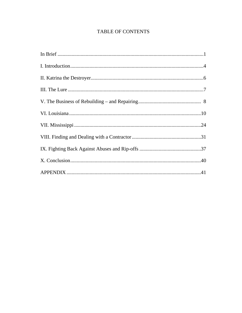# TABLE OF CONTENTS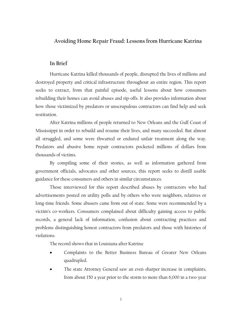# **Avoiding Home Repair Fraud: Lessons from Hurricane Katrina**

#### **In Brief**

Hurricane Katrina killed thousands of people, disrupted the lives of millions and destroyed property and critical infrastructure throughout an entire region. This report seeks to extract, from that painful episode, useful lessons about how consumers rebuilding their homes can avoid abuses and rip-offs. It also provides information about how those victimized by predators or unscrupulous contractors can find help and seek restitution.

After Katrina millions of people returned to New Orleans and the Gulf Coast of Mississippi in order to rebuild and resume their lives, and many succeeded. But almost all struggled, and some were thwarted or endured unfair treatment along the way. Predators and abusive home repair contractors pocketed millions of dollars from thousands of victims.

By compiling some of their stories, as well as information gathered from government officials, advocates and other sources, this report seeks to distill usable guidance for these consumers and others in similar circumstances.

Those interviewed for this report described abuses by contractors who had advertisements posted on utility polls and by others who were neighbors, relatives or long-time friends. Some abusers came from out of state. Some were recommended by a victim's co-workers. Consumers complained about difficulty gaining access to public records, a general lack of information, confusion about contracting practices and problems distinguishing honest contractors from predators and those with histories of violations.

The record shows that in Louisiana after Katrina:

- Complaints to the Better Business Bureau of Greater New Orleans quadrupled.
- The state Attorney General saw an even sharper increase in complaints, from about 150 a year prior to the storm to more than 6,000 in a two-year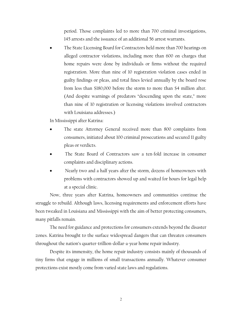period. Those complaints led to more than 700 criminal investigations, 145 arrests and the issuance of an additional 56 arrest warrants.

• The State Licensing Board for Contractors held more than 700 hearings on alleged contractor violations, including more than 600 on charges that home repairs were done by individuals or firms without the required registration. More than nine of 10 registration violation cases ended in guilty findings or pleas, and total fines levied annually by the board rose from less than \$180,000 before the storm to more than \$4 million after. (And despite warnings of predators "descending upon the state," more than nine of 10 registration or licensing violations involved contractors with Louisiana addresses.)

In Mississippi after Katrina:

- The state Attorney General received more than 800 complaints from consumers, initiated about 100 criminal prosecutions and secured 11 guilty pleas or verdicts.
- The State Board of Contractors saw a ten-fold increase in consumer complaints and disciplinary actions.
- Nearly two and a half years after the storm, dozens of homeowners with problems with contractors showed up and waited for hours for legal help at a special clinic.

Now, three years after Katrina, homeowners and communities continue the struggle to rebuild. Although laws, licensing requirements and enforcement efforts have been tweaked in Louisiana and Mississippi with the aim of better protecting consumers, many pitfalls remain.

The need for guidance and protections for consumers extends beyond the disaster zones. Katrina brought to the surface widespread dangers that can threaten consumers throughout the nation's quarter-trillion-dollar-a-year home repair industry.

Despite its immensity, the home repair industry consists mainly of thousands of tiny firms that engage in millions of small transactions annually. Whatever consumer protections exist mostly come from varied state laws and regulations.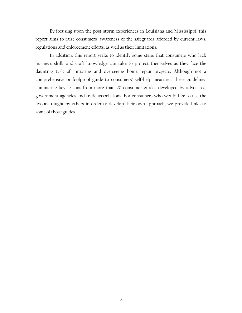By focusing upon the post-storm experiences in Louisiana and Mississippi, this report aims to raise consumers' awareness of the safeguards afforded by current laws, regulations and enforcement efforts, as well as their limitations.

In addition, this report seeks to identify some steps that consumers who lack business skills and craft knowledge can take to protect themselves as they face the daunting task of initiating and overseeing home repair projects. Although not a comprehensive or foolproof guide to consumers' self-help measures, these guidelines summarize key lessons from more than 20 consumer guides developed by advocates, government agencies and trade associations. For consumers who would like to use the lessons taught by others in order to develop their own approach, we provide links to some of those guides.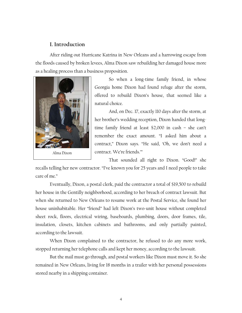## **I. Introduction**

After riding out Hurricane Katrina in New Orleans and a harrowing escape from the floods caused by broken levees, Alma Dixon saw rebuilding her damaged house more as a healing process than a business proposition.



So when a long-time family friend, in whose Georgia home Dixon had found refuge after the storm, offered to rebuild Dixon's house, that seemed like a natural choice.

And, on Dec. 17, exactly 110 days after the storm, at her brother's wedding reception, Dixon handed that longtime family friend at least \$2,000 in cash – she can't remember the exact amount. "I asked him about a contract," Dixon says. "He said, 'Oh, we don't need a contract. We're friends.'"

That sounded all right to Dixon. "Good!" she

recalls telling her new contractor. "I've known you for 25 years and I need people to take care of me."

Eventually, Dixon, a postal clerk, paid the contractor a total of \$19,500 to rebuild her house in the Gentilly neighborhood, according to her breach of contract lawsuit. But when she returned to New Orleans to resume work at the Postal Service, she found her house uninhabitable. Her "friend" had left Dixon's two-unit house without completed sheet rock, floors, electrical wiring, baseboards, plumbing, doors, door frames, tile, insulation, closets, kitchen cabinets and bathrooms, and only partially painted, according to the lawsuit.

When Dixon complained to the contractor, he refused to do any more work, stopped returning her telephone calls and kept her money, according to the lawsuit.

But the mail must go through, and postal workers like Dixon must move it. So she remained in New Orleans, living for 18 months in a trailer with her personal possessions stored nearby in a shipping container.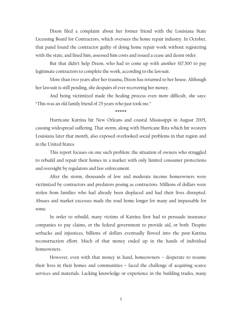Dixon filed a complaint about her former friend with the Louisiana State Licensing Board for Contractors, which oversees the home repair industry. In October, that panel found the contractor guilty of doing home repair work without registering with the state, and fined him, assessed him costs and issued a cease and desist order.

But that didn't help Dixon, who had to come up with another \$17,500 to pay legitimate contractors to complete the work, according to the lawsuit.

More than two years after her trauma, Dixon has returned to her house. Although her lawsuit is still pending, she despairs of ever recovering her money.

And being victimized made the healing process even more difficult, she says: "This was an old family friend of 25 years who just took me."

\*\*\*\*\*

Hurricane Katrina hit New Orleans and coastal Mississippi in August 2005, causing widespread suffering. That storm, along with Hurricane Rita which hit western Louisiana later that month, also exposed overlooked social problems in that region and in the United States.

This report focuses on one such problem: the situation of owners who struggled to rebuild and repair their homes in a market with only limited consumer protections and oversight by regulators and law enforcement.

After the storm, thousands of low and moderate income homeowners were victimized by contractors and predators posing as contractors. Millions of dollars were stolen from families who had already been displaced and had their lives disrupted. Abuses and market excesses made the road home longer for many and impassable for some.

In order to rebuild, many victims of Katrina first had to persuade insurance companies to pay claims, or the federal government to provide aid, or both. Despite setbacks and injustices, billions of dollars eventually flowed into the post-Katrina reconstruction effort. Much of that money ended up in the hands of individual homeowners.

However, even with that money in hand, homeowners – desperate to resume their lives in their homes and communities – faced the challenge of acquiring scarce services and materials. Lacking knowledge or experience in the building trades, many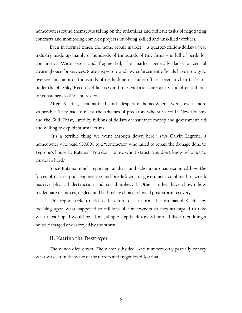homeowners found themselves taking on the unfamiliar and difficult tasks of negotiating contracts and monitoring complex projects involving skilled and unskilled workers.

Even in normal times, the home repair market – a quarter-trillion-dollar-a-year industry made up mainly of hundreds of thousands of tiny firms – is full of perils for consumers. Wide open and fragmented, the market generally lacks a central clearinghouse for services. State inspectors and law enforcement officials have no way to oversee and monitor thousands of deals done in trailer offices, over kitchen tables or under the blue sky. Records of licenses and rules violations are spotty and often difficult for consumers to find and review.

After Katrina, traumatized and desperate homeowners were even more vulnerable. They had to resist the schemes of predators who surfaced in New Orleans and the Gulf Coast, lured by billions of dollars of insurance money and government aid and willing to exploit storm victims.

"It's a terrible thing we went through down here," says Calvin Legrone, a homeowner who paid \$30,000 to a "contractor" who failed to repair the damage done to Legrone's house by Katrina. "You don't know who to trust. You don't know who not to trust. It's hard."

Since Katrina, much reporting, analysis and scholarship has examined how the forces of nature, poor engineering and breakdowns in government combined to wreak massive physical destruction and social upheaval. Other studies have shown how inadequate resources, neglect and bad policy choices slowed post-storm recovery.

This report seeks to add to the effort to learn from the traumas of Katrina by focusing upon what happened to millions of homeowners as they attempted to take what most hoped would be a final, simple step back toward normal lives: rebuilding a house damaged or destroyed by the storm.

#### **II. Katrina the Destroyer**

The winds died down. The water subsided. And numbers only partially convey what was left in the wake of the terrors and tragedies of Katrina.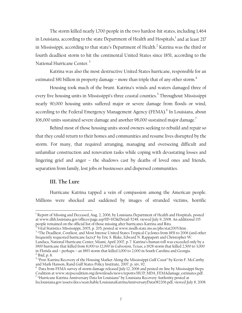The storm killed nearly 1,700 people in the two hardest-hit states, including 1,464 in Louisiana, according to the state Department of Health and Hospitals, $^{\rm l}$  and at least 217 in Mississippi, according to that state's Department of Health. $^2$  Katrina was the third or fourth deadliest storm to hit the continental United States since 1851, according to the National Hurricane Center.<sup>3</sup>

Katrina was also the most destructive United States hurricane, responsible for an estimated \$81 billion in property damage – more than triple that of any other storm.<sup>4</sup>

Housing took much of the brunt. Katrina's winds and waters damaged three of every five housing units in Mississippi's three coastal counties.<sup>5</sup> Throughout Mississippi nearly 90,000 housing units suffered major or severe damage from floods or wind, according to the Federal Emergency Management Agency (FEMA).<sup>6</sup> In Louisiana, about 106,000 units sustained severe damage and another 98,000 sustained major damage.<sup>7</sup>

Behind most of those housing units stood owners seeking to rebuild and repair so that they could return to their homes and communities and resume lives disrupted by the storm. For many, that required arranging, managing and overseeing difficult and unfamiliar construction and renovation tasks while coping with devastating losses and lingering grief and anger – the shadows cast by deaths of loved ones and friends, separation from family, lost jobs or businesses and dispersed communities.

#### **III. The Lure**

 $\overline{a}$ 

Hurricane Katrina tapped a vein of compassion among the American people. Millions were shocked and saddened by images of stranded victims, horrific

 $^{\rm l}$  Report of Missing and Deceased, Aug. 2, 2006, by Louisiana Department of Health and Hospitals, posted at www.dhh.louisiana.gov/offices/page.asp?ID=192&Detail=5248, viewed July 9, 2008. An additional 135 people remained on the official list of those missing after hurricanes Katrina and Rita. 2

Vital Statistics Mississippi, 2005, p. 205, posted at www.msdh.state.ms.us/phs/stat2005.htm . 3

<sup>&</sup>lt;sup>3</sup> "The Deadliest, Costliest, and Most Intense United States Tropical Cyclones from 1851 to 2006 (and other frequently requested hurricane facts)" by Eric S. Blake, Edward N. Rappaport and Christopher W. Landsea, National Hurricane Center, Miami, April 2007, p. 7. Katrina's human toll was exceeded only by a 1900 hurricane that killed from 8,000 to 12,000 in Galveston, Texas; a 1928 storm that killed 2,500 to 3,000 in Florida and – perhaps – an 1893 storm that killed 1,000 to 2,000 in South Carolina and Georgia. 4 Ibid, p. 8.

<sup>&</sup>lt;sup>5</sup> "Post-Katrina Recovery of the Housing Market Along the Mississippi Gulf Coast" by Kevin F. McCarthy and Mark Hanson, Rand Gulf States Policy Institute, 2007, p. xiv, 92. 6

 $6$  Data from FEMA survey of storm damage released July 12, 2006 and posted on-line by Mississippi Steps Coalition at www.stepscoalition.org/downloads/news/reports/HUD\_MDA\_FEMAdamage\_estimates.pdf .

<sup>&</sup>lt;sup>7</sup> "Hurricane Katrina Anniversary Data for Louisiana" by Louisiana Recovery Authority posted at lra.louisiana.gov/assets/docs/searchable/LouisianaKatrinaAnniversaryData082206.pdf, viewed July 8, 2008.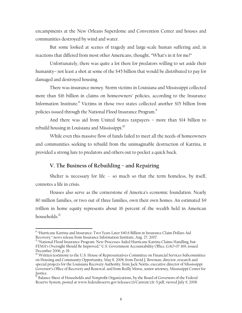encampments at the New Orleans Superdome and Convention Center and houses and communities destroyed by wind and water.

But some looked at scenes of tragedy and large-scale human suffering and, in reactions that differed from most other Americans, thought, "What's in it for me?"

Unfortunately, there was quite a lot there for predators willing to set aside their humanity– not least a shot at some of the \$45 billion that would be distributed to pay for damaged and destroyed housing.

There was insurance money. Storm victims in Louisiana and Mississippi collected more than \$16 billion in claims on homeowners' policies, according to the Insurance Information Institute.<sup>8</sup> Victims in those two states collected another \$15 billion from policies issued through the National Flood Insurance Program.<sup>9</sup>

And there was aid from United States taxpayers – more than \$14 billion to rebuild housing in Louisiana and Mississippi.<sup>10</sup>

While even this massive flow of funds failed to meet all the needs of homeowners and communities seeking to rebuild from the unimaginable destruction of Katrina, it provided a strong lure to predators and others out to pocket a quick buck.

# **V. The Business of Rebuilding – and Repairing**

Shelter is necessary for life  $\sim$  so much so that the term homeless, by itself, connotes a life in crisis.

Houses also serve as the cornerstone of America's economic foundation. Nearly 80 million families, or two out of three families, own their own homes. An estimated \$9 trillion in home equity represents about 16 percent of the wealth held in American households $^{11}$ 

 $\overline{a}$ 

 $^8$  "Hurricane Katrina and Insurance: Two Years Later \$40.6 Billion in Insurance Claim Dollars Aid Recovery," news release from Insurance Information Institute, Aug. 27, 2007.

<sup>&</sup>lt;sup>9</sup> "National Flood Insurance Program: New Processes Aided Hurricane Katrina Claims Handling, but FEMA's Oversight Should Be Improved," U.S. Government Accountability Office, GAO-07-169, issued December 2006, p. 19.

<sup>&</sup>lt;sup>10</sup> Written testimony to the U.S. House of Representatives Committee on Financial Services Subcommittee on Housing and Community Opportunity, May 8, 2008, from David J. Bowman, director, research and special projects for the Louisiana Recovery Authority, from Jack Norris, executive director of Mississippi Governor's Office of Recovery and Renewal. and from Reilly Morse, senior attorney, Mississippi Center for Justice.

<sup>&</sup>lt;sup>11</sup> Balance Sheet of Households and Nonprofit Organizations, by the Board of Governors of the Federal Reserve System, posted at www.federalreserve.gov/releases/z1/Current/z1r-5.pdf, viewed July 9, 2008.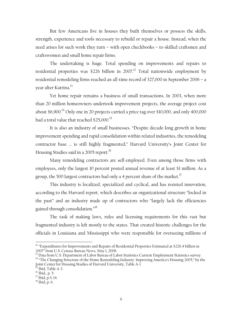But few Americans live in houses they built themselves or possess the skills, strength, experience and tools necessary to rebuild or repair a house. Instead, when the need arises for such work they turn – with open checkbooks – to skilled craftsmen and craftswomen and small home repair firms.

The undertaking is huge. Total spending on improvements and repairs to residential properties was \$226 billion in 2007.<sup>12</sup> Total nationwide employment by residential remodeling firms reached an all-time record of 327,000 in September 2006 – a vear after Katrina.<sup>13</sup>

Yet home repair remains a business of small transactions. In 2003, when more than 20 million homeowners undertook improvement projects, the average project cost about \$6,900.<sup>14</sup> Only one in 20 projects carried a price tag over \$10,000, and only 400,000 had a total value that reached  $\$25.000.^\mathrm{15}$ 

It is also an industry of small businesses. "Despite decade-long growth in home improvement spending and rapid consolidation within related industries, the remodeling contractor base … is still highly fragmented," Harvard University's Joint Center for Housing Studies said in a 2005 report.<sup>16</sup>

Many remodeling contractors are self-employed. Even among those firms with employees, only the largest 10 percent posted annual revenue of at least \$1 million. As a group, the 500 largest contractors had only a 4 percent share of the market.<sup>17</sup>

This industry is localized, specialized and cyclical, and has resisted innovation, according to the Harvard report, which describes an organizational structure "locked in the past" and an industry made up of contractors who "largely lack the efficiencies gained through consolidation."18

The task of making laws, rules and licensing requirements for this vast but fragmented industry is left mostly to the states. That created historic challenges for the officials in Louisiana and Mississippi who were responsible for overseeing millions of

Joint Center for Housing Studies of Harvard University, Table A-1.<br><sup>15</sup> Ibid, Table A-3.

<u>.</u>

 $^{12}$  "Expenditures for Improvements and Repairs of Residential Properties Estimated at \$226.4 billion in 2007" from U.S. Census Bureau News, May 1, 2008.<br><sup>13</sup> Data from U.S. Department of Labor Bureau of Labor Statistics Current Employment Statistics survey.

<sup>&</sup>lt;sup>14</sup> "The Changing Structure of the Home Remodeling Industry: Improving America's Housing 2005," by the

 $^{16}$  Ibid., p. 5.

 $17$  Ibid, p.5, 14.

 $^{18}$  Ibid, p. 6.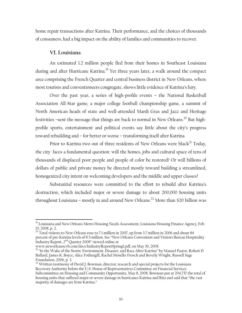home repair transactions after Katrina. Their performance, and the choices of thousands of consumers, had a big impact on the ability of families and communities to recover.

#### **VI. Louisiana**

 $\overline{a}$ 

An estimated 1.2 million people fled from their homes in Southeast Louisiana during and after Hurricane Katrina.<sup>19</sup> Yet three years later, a walk around the compact area comprising the French Quarter and central business district in New Orleans, where most tourists and conventioneers congregate, shows little evidence of Katrina's fury.

Over the past year, a series of high-profile events – the National Basketball Association All-Star game, a major college football championship game, a summit of North American heads of state and well-attended Mardi Gras and Jazz and Heritage festivities -sent the message that things are back to normal in New Orleans.<sup>20</sup> But highprofile sports, entertainment and political events say little about the city's progress toward rebuilding and – for better or worse – transforming itself after Katrina.

Prior to Katrina two out of three residents of New Orleans were black<sup>21</sup> Today, the city faces a fundamental question: will the homes, jobs and cultural space of tens of thousands of displaced poor people and people of color be restored? Or will billions of dollars of public and private money be directed mostly toward building a streamlined, homogenized city intent on welcoming developers and the middle and upper classes?

Substantial resources were committed to the effort to rebuild after Katrina's destruction, which included major or severe damage to about 200,000 housing units throughout Louisiana – mostly in and around New Orleans.<sup>22</sup> More than \$20 billion was

<sup>&</sup>lt;sup>19</sup> Louisiana and New Orleans Metro Housing Needs Assessment, Louisiana Housing Finance Agency, Feb. 15, 2008, p. 2.

 $^{20}$  Total visitors to New Orleans rose to 7.1 million in 2007, up from 3.7 million in 2006 and about 84 percent of pre-Katrina levels of 8.5 million. See "New Orleans Convention and Visitors Bureau Hospitality Industry Report, 2<sup>nd</sup> Quarter 2008" viewed online at<br>www.neworleanscvb.com/docs/IndustryReportSpring1.pdf, on May 30, 2008.

<sup>&</sup>lt;sup>21</sup> "In the Wake of the Storm: Environment, Disaster, and Race After Katrina" by Manuel Pastor, Robert D. Bullard, James K. Boyce, Alice Fothergill, Rachel Morello-Frosch and Beverly Wright, Russell Sage Foundation, 2006, p. 3.

<sup>&</sup>lt;sup>22</sup> Written testimony of David J. Bowman, director, research and special projects for the Louisiana Recovery Authority before the U.S. House of Representatives Committee on Financial Services Subcommittee on Housing and Community Opportunity, May 8, 2008. Bowman put at 204,737 the total of housing units that suffered major or severe damage in hurricanes Katrina and Rita and said that "the vast majority of damages are from Katrina."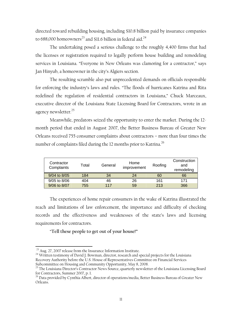directed toward rebuilding housing, including \$10.8 billion paid by insurance companies to 688,000 homeowners<sup>23</sup> and \$11.6 billion in federal aid.<sup>24</sup>

The undertaking posed a serious challenge to the roughly 4,400 firms that had the licenses or registration required to legally perform house building and remodeling services in Louisiana. "Everyone in New Orleans was clamoring for a contractor," says Jan Hinyub, a homeowner in the city's Algiers section.

The resulting scramble also put unprecedented demands on officials responsible for enforcing the industry's laws and rules. "The floods of hurricanes Katrina and Rita redefined the regulation of residential contractors in Louisiana," Chuck Marceaux, executive director of the Louisiana State Licensing Board for Contractors, wrote in an agency newsletter.<sup>25</sup>

Meanwhile, predators seized the opportunity to enter the market. During the 12 month period that ended in August 2007, the Better Business Bureau of Greater New Orleans received 755 consumer complaints about contractors – more than four times the number of complaints filed during the 12 months prior to Katrina.<sup>26</sup>

| Contractor<br>Complaints | Total | General | Home<br>improvement | Roofing | Construction<br>and<br>remodeling |
|--------------------------|-------|---------|---------------------|---------|-----------------------------------|
| 9/04 to 8/05             | 184   | 34      | 24                  | 60      | 66                                |
| 9/05 to 8/06             | 404   | 46      | 26                  | 161     | 171                               |
| 9/06 to 8/07             | 755   | 117     | 59                  | 213     | 366                               |

The experiences of home repair consumers in the wake of Katrina illustrated the reach and limitations of law enforcement, the importance and difficulty of checking records and the effectiveness and weaknesses of the state's laws and licensing requirements for contractors.

"**Tell these people to get out of your house!"** 

 $\overline{a}$ 

 $^{23}$  Aug. 27, 2007 release from the Insurance Information Institute.<br><sup>24</sup> Written testimony of David J. Bowman, director, research and special projects for the Louisiana Recovery Authority before the U.S. House of Representatives Committee on Financial Services Subcommittee on Housing and Community Opportunity, May 8, 2008.

<sup>&</sup>lt;sup>25</sup> The Louisiana Director's Contractor News Source, quarterly newsletter of the Louisiana Licensing Board for Contractors, Summer 2007, p. 1.

<sup>&</sup>lt;sup>26</sup> Data provided by Cynthia Albert, director of operations/media, Better Business Bureau of Greater New Orleans.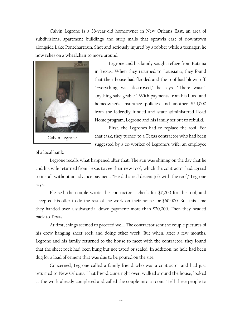Calvin Legrone is a 38-year-old homeowner in New Orleans East, an area of subdivisions, apartment buildings and strip malls that sprawls east of downtown alongside Lake Pontchartrain. Shot and seriously injured by a robber while a teenager, he now relies on a wheelchair to move around.



Legrone and his family sought refuge from Katrina in Texas. When they returned to Louisiana, they found that their house had flooded and the roof had blown off. "Everything was destroyed," he says. "There wasn't anything salvageable." With payments from his flood and homeowner's insurance policies and another \$50,000 from the federally funded and state administered Road Home program, Legrone and his family set out to rebuild.

First, the Legrones had to replace the roof. For that task, they turned to a Texas contractor who had been suggested by a co-worker of Legrone's wife, an employee

of a local bank.

Legrone recalls what happened after that. The sun was shining on the day that he and his wife returned from Texas to see their new roof, which the contractor had agreed to install without an advance payment. "He did a real decent job with the roof," Legrone says.

Pleased, the couple wrote the contractor a check for \$7,000 for the roof, and accepted his offer to do the rest of the work on their house for \$60,000. But this time they handed over a substantial down payment: more than \$30,000. Then they headed back to Texas.

At first, things seemed to proceed well. The contractor sent the couple pictures of his crew hanging sheet rock and doing other work. But when, after a few months, Legrone and his family returned to the house to meet with the contractor, they found that the sheet rock had been hung but not taped or sealed. In addition, no hole had been dug for a load of cement that was due to be poured on the site.

Concerned, Legrone called a family friend who was a contractor and had just returned to New Orleans. That friend came right over, walked around the house, looked at the work already completed and called the couple into a room. "Tell these people to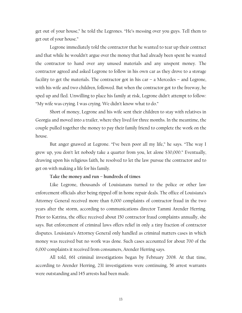get out of your house," he told the Legrones. "He's messing over you guys. Tell them to get out of your house."

Legrone immediately told the contractor that he wanted to tear up their contract and that while he wouldn't argue over the money that had already been spent he wanted the contractor to hand over any unused materials and any unspent money. The contractor agreed and asked Legrone to follow in his own car as they drove to a storage facility to get the materials. The contractor got in his car – a Mercedes – and Legrone, with his wife and two children, followed. But when the contractor got to the freeway, he sped up and fled. Unwilling to place his family at risk, Legrone didn't attempt to follow: "My wife was crying. I was crying. We didn't know what to do."

Short of money, Legrone and his wife sent their children to stay with relatives in Georgia and moved into a trailer, where they lived for three months. In the meantime, the couple pulled together the money to pay their family friend to complete the work on the house.

But anger gnawed at Legrone. "I've been poor all my life," he says. "The way I grew up, you don't let nobody take a quarter from you, let alone \$30,000." Eventually, drawing upon his religious faith, he resolved to let the law pursue the contractor and to get on with making a life for his family.

#### **Take the money and run – hundreds of times**

Like Legrone, thousands of Louisianans turned to the police or other law enforcement officials after being ripped off in home repair deals. The office of Louisiana's Attorney General received more than 6,000 complaints of contractor fraud in the two years after the storm, according to communications director Tammi Arender Herring. Prior to Katrina, the office received about 150 contractor fraud complaints annually, she says. But enforcement of criminal laws offers relief in only a tiny fraction of contractor disputes. Louisiana's Attorney General only handled as criminal matters cases in which money was received but no work was done. Such cases accounted for about 700 of the 6,000 complaints it received from consumers, Arender Herring says.

All told, 661 criminal investigations began by February 2008. At that time, according to Arender Herring, 231 investigations were continuing, 56 arrest warrants were outstanding and 145 arrests had been made.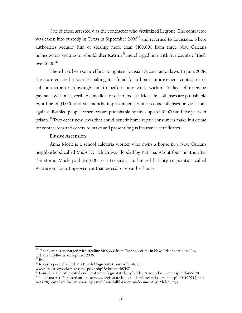One of those arrested was the contractor who victimized Legrone. The contractor was taken into custody in Texas in September  $2006^{27}$  and returned to Louisiana, where authorities accused him of stealing more than \$100,000 from three New Orleans homeowners seeking to rebuild after Katrina<sup>28</sup>and charged him with five counts of theft over \$500.29

There have been some efforts to tighten Louisiana's contractor laws. In June 2008, the state enacted a statute making it a fraud for a home improvement contractor or subcontractor to knowingly fail to perform any work within 45 days of receiving payment without a verifiable medical or other excuse. Most first offenses are punishable by a fine of \$1,000 and six months imprisonment, while second offenses or violations against disabled people or seniors are punishable by fines up to \$10,000 and five years in prison. $30$  Two other new laws that could benefit home repair consumers make it a crime for contractors and others to make and present bogus insurance certificates. $^{31}$ 

#### **Elusive Ascension**

Anna Mock is a school cafeteria worker who owns a house in a New Orleans neighborhood called Mid-City, which was flooded by Katrina. About four months after the storm, Mock paid \$57,000 to a Geismar, La. limited liability corporation called Ascension Home Improvement that agreed to repair her house.

 $\overline{a}$ 

- <sup>29</sup> Records posted on Orleans Parish Magistrate Court web site at
- 

 $27$  "Phony minister charged with stealing \$109,000 from Katrina victims in New Orleans area" in New Orleans CityBusiness, Sept. 26, 2006.

 $28$  Ibid.

www.opcso.org/dcktmstr/dmdspdkt.php?&docase=467197 .<br><sup>30</sup> Louisiana Act 292, posted on-line at www.legis.state.la.us/billdata/streamdocument.asp?did=499878.

<sup>&</sup>lt;sup>31</sup> Louisiana Act 15, posted on-line at www.legis.state.la.us/billdata/streamdocument.asp?did=492943, and Act 628, posted on-line at www.legis.state.la.us/billdata/streamdocument.asp?did=503777.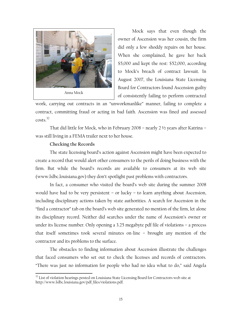

Mock says that even though the owner of Ascension was her cousin, the firm did only a few shoddy repairs on her house. When she complained, he gave her back \$5,000 and kept the rest: \$52,000, according to Mock's breach of contract lawsuit. In August 2007, the Louisiana State Licensing Board for Contractors found Ascension guilty of consistently failing to perform contracted

work, carrying out contracts in an "unworkmanlike" manner, failing to complete a contract, committing fraud or acting in bad faith. Ascension was fined and assessed costs.<sup>32</sup>

That did little for Mock, who in February 2008 – nearly 2 ½ years after Katrina – was still living in a FEMA trailer next to her house.

#### **Checking the Records**

<u>.</u>

The state licensing board's action against Ascension might have been expected to create a record that would alert other consumers to the perils of doing business with the firm. But while the board's records are available to consumers at its web site (www.lslbc.louisiana.gov) they don't spotlight past problems with contractors.

In fact, a consumer who visited the board's web site during the summer 2008 would have had to be very persistent – or lucky – to learn anything about Ascension, including disciplinary actions taken by state authorities. A search for Ascension in the "find a contractor" tab on the board's web site generated no mention of the firm, let alone its disciplinary record. Neither did searches under the name of Ascension's owner or under its license number. Only opening a 3.25 megabyte pdf file of violations – a process that itself sometimes took several minutes on-line – brought any mention of the contractor and its problems to the surface.

The obstacles to finding information about Ascension illustrate the challenges that faced consumers who set out to check the licenses and records of contractors. "There was just no information for people who had no idea what to do," said Angela

 $32$  List of violation hearings posted on Louisiana State Licensing Board for Contractors web site at http://www.lslbc.louisiana.gov/pdf\_files/violations.pdf.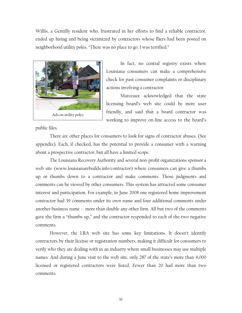Willis, a Gentilly resident who, frustrated in her efforts to find a reliable contractor, ended up hiring and being victimized by contractors whose fliers had been posted on neighborhood utility poles. "There was no place to go. I was terrified."



In fact, no central registry exists where Louisiana consumers can make a comprehensive check for past consumer complaints or disciplinary actions involving a contractor.

Marceaux acknowledged that the state licensing board's web site could be more user friendly, and said that a board contractor was working to improve on-line access to the board's

public files.

There are other places for consumers to look for signs of contractor abuses. (See appendix). Each, if checked, has the potential to provide a consumer with a warning about a prospective contractor, but all have a limited scope.

The Louisiana Recovery Authority and several non-profit organizations sponsor a web site (www.louisianarebuilds.info/contractor) where consumers can give a thumbs up or thumbs down to a contractor and make comments. Those judgments and comments can be viewed by other consumers. This system has attracted some consumer interest and participation. For example, in June 2008 one registered home improvement contractor had 39 comments under its own name and four additional comments under another business name  $\sim$  more than double any other firm. All but two of the comments gave the firm a "thumbs up," and the contractor responded to each of the two negative comments.

However, the LRA web site has some key limitations. It doesn't identify contractors by their license or registration numbers, making it difficult for consumers to verify who they are dealing with in an industry where small businesses may use multiple names. And during a June visit to the web site, only 287 of the state's more than 4,000 licensed or registered contractors were listed. Fewer than 20 had more than two comments.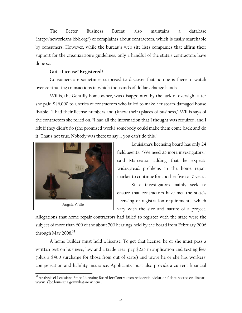The Better Business Bureau also maintains a database (http://neworleans.bbb.org/) of complaints about contractors, which is easily searchable by consumers. However, while the bureau's web site lists companies that affirm their support for the organization's guidelines, only a handful of the state's contractors have done so.

#### **Got a License? Registered?**

Consumers are sometimes surprised to discover that no one is there to watch over contracting transactions in which thousands of dollars change hands.

Willis, the Gentilly homeowner, was disappointed by the lack of oversight after she paid \$46,000 to a series of contractors who failed to make her storm-damaged house livable. "I had their license numbers and (knew their) places of business," Willis says of the contractors she relied on. "I had all the information that I thought was required, and I felt if they didn't do (the promised work) somebody could make them come back and do it. That's not true. Nobody was there to say … you can't do this."



Angela Willis

Louisiana's licensing board has only 24 field agents. "We need 25 more investigators," said Marceaux, adding that he expects widespread problems in the home repair market to continue for another five to 10 years.

State investigators mainly seek to ensure that contractors have met the state's licensing or registration requirements, which vary with the size and nature of a project.

Allegations that home repair contractors had failed to register with the state were the subject of more than 600 of the about 700 hearings held by the board from February 2006 through May 2008.<sup>33</sup>

A home builder must hold a license. To get that license, he or she must pass a written test on business, law and a trade area, pay \$225 in application and testing fees (plus a \$400 surcharge for those from out of state) and prove he or she has workers' compensation and liability insurance. Applicants must also provide a current financial

 $\overline{a}$ <sup>33</sup> Analysis of Louisiana State Licensing Board for Contractors residential violations' data posted on-line at www.lslbc.louisiana.gov/whatsnew.htm .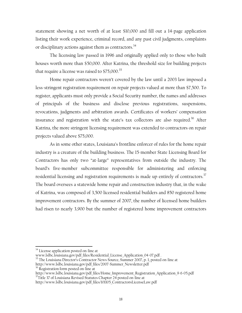statement showing a net worth of at least \$10,000 and fill out a 14-page application listing their work experience, criminal record, and any past civil judgments, complaints or disciplinary actions against them as contractors.<sup>34</sup>

The licensing law passed in 1996 and originally applied only to those who built houses worth more than \$50,000. After Katrina, the threshold size for building projects that require a license was raised to  $$75,000.^35$ 

Home repair contractors weren't covered by the law until a 2003 law imposed a less-stringent registration requirement on repair projects valued at more than \$7,500. To register, applicants must only provide a Social Security number, the names and addresses of principals of the business and disclose previous registrations, suspensions, revocations, judgments and arbitration awards. Certificates of workers' compensation insurance and registration with the state's tax collectors are also required.<sup>36</sup> After Katrina, the more stringent licensing requirement was extended to contractors on repair projects valued above \$75,000.

As in some other states, Louisiana's frontline enforcer of rules for the home repair industry is a creature of the building business. The 15-member State Licensing Board for Contractors has only two "at-large" representatives from outside the industry. The board's five-member subcommittee responsible for administering and enforcing residential licensing and registration requirements is made up entirely of contractors.<sup>37</sup> The board oversees a statewide home repair and construction industry that, in the wake of Katrina, was composed of 3,500 licensed residential builders and 850 registered home improvement contractors. By the summer of 2007, the number of licensed home builders had risen to nearly 3,900 but the number of registered home improvement contractors

1

http://www.lslbc.louisiana.gov/pdf\_files/2007-Summer\_Newsletter.pdf 36 Registration form posted on-line at

<sup>&</sup>lt;sup>34</sup> License application posted on-line at<br>www.lslbc.louisiana.gov/pdf\_files/Residential\_License\_Application\_04-07.pdf.

<sup>&</sup>lt;sup>35</sup> The Louisiana Director's Contractor News Source, Summer 2007, p. 1, posted on-line at

http://www.lslbc.louisiana.gov/pdf\_files/Home\_Improvement\_Registration\_Application\_9-6-05.pdf  $37$ Title 37 of Louisiana Revised Statutes Chapter 24 posted on-line at

http://www.lslbc.louisiana.gov/pdf\_files/101105\_ContractorsLicenseLaw.pdf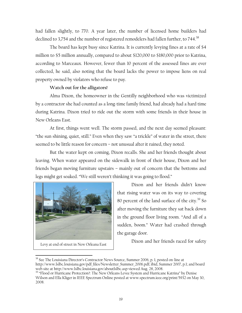had fallen slightly, to 770. A year later, the number of licensed home builders had declined to 3,754 and the number of registered remodelers had fallen further, to 744. $^{38}$ 

The board has kept busy since Katrina. It is currently levying fines at a rate of \$4 million to \$5 million annually, compared to about \$120,000 to \$180,000 prior to Katrina, according to Marceaux. However, fewer than 10 percent of the assessed fines are ever collected, he said, also noting that the board lacks the power to impose liens on real property owned by violators who refuse to pay.

#### **Watch out for the alligators!**

Alma Dixon, the homeowner in the Gentilly neighborhood who was victimized by a contractor she had counted as a long-time family friend, had already had a hard time during Katrina. Dixon tried to ride out the storm with some friends in their house in New Orleans East.

At first, things went well. The storm passed, and the next day seemed pleasant: "the sun shining, quiet, still." Even when they saw "a trickle" of water in the street, there seemed to be little reason for concern – not unusual after it rained, they noted.

But the water kept on coming, Dixon recalls. She and her friends thought about leaving. When water appeared on the sidewalk in front of their house, Dixon and her friends began moving furniture upstairs – mainly out of concern that the bottoms and legs might get soaked. "We still weren't thinking it was going to flood."



Levy at end of street in New Orleana East

Dixon and her friends didn't know that rising water was on its way to covering 80 percent of the land surface of the city. $39$  So after moving the furniture they sat back down in the ground floor living room. "And all of a sudden, boom." Water had crashed through the garage door.

Dixon and her friends raced for safety

<sup>&</sup>lt;u>.</u> <sup>38</sup> See The Louisiana Director's Contractor News Source, Summer 2006, p. 1, posted on-line at http://www.lslbc.louisiana.gov/pdf\_files/Newsletter\_Summer\_2006.pdf; ibid, Summer 2007, p.1; and board web site at http://www.lslbc.louisiana.gov/aboutlslbc.asp viewed Aug. 28, 2008.

<sup>&</sup>lt;sup>39</sup> "Flood or Hurricane Protection?: The New Orleans Levee System and Hurricane Katrina" by Denise Wilson and Ella Kliger in IEEE Spectrum Online posted at www.spectrum.ieee.org/print/5932 on May 30, 2008.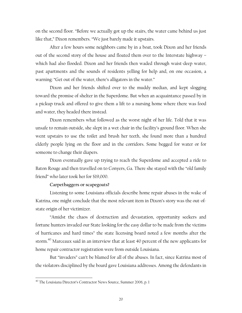on the second floor. "Before we actually got up the stairs, the water came behind us just like that," Dixon remembers. "We just barely made it upstairs.

After a few hours some neighbors came by in a boat, took Dixon and her friends out of the second story of the house and floated them over to the Interstate highway – which had also flooded. Dixon and her friends then waded through waist-deep water, past apartments and the sounds of residents yelling for help and, on one occasion, a warning: "Get out of the water, there's alligators in the water."

Dixon and her friends shifted over to the muddy median, and kept slogging toward the promise of shelter in the Superdome. But when an acquaintance passed by in a pickup truck and offered to give them a lift to a nursing home where there was food and water, they headed there instead.

Dixon remembers what followed as the worst night of her life. Told that it was unsafe to remain outside, she slept in a wet chair in the facility's ground floor. When she went upstairs to use the toilet and brush her teeth, she found more than a hundred elderly people lying on the floor and in the corridors. Some begged for water or for someone to change their diapers.

Dixon eventually gave up trying to reach the Superdome and accepted a ride to Baton Rouge and then travelled on to Conyers, Ga. There she stayed with the "old family friend" who later took her for \$19,000.

#### **Carpetbaggers or scapegoats?**

Listening to some Louisiana officials describe home repair abuses in the wake of Katrina, one might conclude that the most relevant item in Dixon's story was the out-ofstate origin of her victimizer.

"Amidst the chaos of destruction and devastation, opportunity seekers and fortune hunters invaded our State looking for the easy dollar to be made from the victims of hurricanes and hard times" the state licensing board noted a few months after the storm.<sup>40</sup> Marceaux said in an interview that at least 40 percent of the new applicants for home repair contractor registration were from outside Louisiana.

But "invaders" can't be blamed for all of the abuses. In fact, since Katrina most of the violators disciplined by the board gave Louisiana addresses. Among the defendants in

1

<sup>&</sup>lt;sup>40</sup> The Louisiana Director's Contractor News Source, Summer 2006, p. 1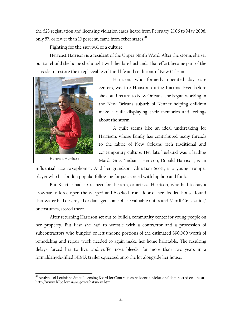the 623 registration and licensing violation cases heard from February 2006 to May 2008, only 57, or fewer than 10 percent, came from other states. $41$ 

## **Fighting for the survival of a culture**

Herreast Harrison is a resident of the Upper Ninth Ward. After the storm, she set out to rebuild the home she bought with her late husband. That effort became part of the crusade to restore the irreplaceable cultural life and traditions of New Orleans.



Harrison, who formerly operated day care centers, went to Houston during Katrina. Even before she could return to New Orleans, she began working in the New Orleans suburb of Kenner helping children make a quilt displaying their memories and feelings about the storm.

A quilt seems like an ideal undertaking for Harrison, whose family has contributed many threads to the fabric of New Orleans' rich traditional and contemporary culture. Her late husband was a leading Mardi Gras "Indian." Her son, Donald Harrison, is an

influential jazz saxophonist. And her grandson, Christian Scott, is a young trumpet player who has built a popular following for jazz spiced with hip hop and funk.

But Katrina had no respect for the arts, or artists. Harrison, who had to buy a crowbar to force open the warped and blocked front door of her flooded house, found that water had destroyed or damaged some of the valuable quilts and Mardi Gras "suits," or costumes, stored there.

After returning Harrison set out to build a community center for young people on her property. But first she had to wrestle with a contractor and a procession of subcontractors who bungled or left undone portions of the estimated \$90,000 worth of remodeling and repair work needed to again make her home habitable. The resulting delays forced her to live, and suffer nose bleeds, for more than two years in a formaldehyde-filled FEMA trailer squeezed onto the lot alongside her house.

 $\overline{a}$ <sup>41</sup> Analysis of Louisiana State Licensing Board for Contractors residential violations' data posted on-line at http://www.lslbc.louisiana.gov/whatsnew.htm .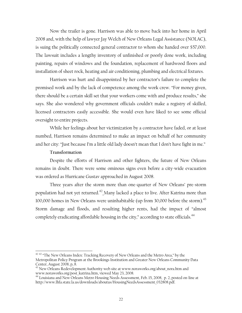Now the trailer is gone. Harrison was able to move back into her home in April 2008 and, with the help of lawyer Jay Welch of New Orleans Legal Assistance (NOLAC), is suing the politically connected general contractor to whom she handed over \$57,000. The lawsuit includes a lengthy inventory of unfinished or poorly done work, including painting, repairs of windows and the foundation, replacement of hardwood floors and installation of sheet rock, heating and air conditioning, plumbing and electrical fixtures.

Harrison was hurt and disappointed by her contractor's failure to complete the promised work and by the lack of competence among the work crew. "For money given, there should be a certain skill set that your workers come with and produce results," she says. She also wondered why government officials couldn't make a registry of skilled, licensed contractors easily accessible. She would even have liked to see some official oversight to entire projects.

While her feelings about her victimization by a contractor have faded, or at least numbed, Harrison remains determined to make an impact on behalf of her community and her city: "Just because I'm a little old lady doesn't mean that I don't have fight in me."

#### **Transformation**

1

Despite the efforts of Harrison and other fighters, the future of New Orleans remains in doubt. There were some ominous signs even before a city-wide evacuation was ordered as Hurricane Gustav approached in August 2008.

Three years after the storm more than one-quarter of New Orleans' pre-storm population had not yet returned.<sup>42</sup> Many lacked a place to live. After Katrina more than 100,000 homes in New Orleans were uninhabitable (up from 30,000 before the storm).<sup>43</sup> Storm damage and floods, and resulting higher rents, had the impact of "almost completely eradicating affordable housing in the city," according to state officials.<sup>44</sup>

<sup>&</sup>lt;sup>42 42</sup> "The New Orleans Index: Tracking Recovery of New Orleans and the Metro Area," by the Metropolitan Policy Program at the Brookings Institution and Greater New Orleans Community Data Center, August 2008, p, 8.

<sup>43</sup> New Orleans Redevelopment Authority web site at www.noraworks.org/about\_nora.htm and www.noraworks.org/post\_katrina.htm, viewed May 23, 2008.

<sup>44</sup> Louisiana and New Orleans Metro Housing Needs Assessment, Feb. 15, 2008, p. 2, posted on-line at http://www.lhfa.state.la.us/downloads/aboutus/HousingNeedsAssessment\_032808.pdf.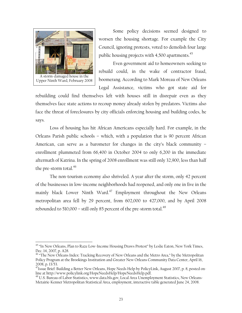

 $\overline{a}$ 

Some policy decisions seemed designed to worsen the housing shortage. For example the City Council, ignoring protests, voted to demolish four large public housing projects with  $4,500$  apartments.<sup>45</sup>

Even government aid to homeowners seeking to rebuild could, in the wake of contractor fraud, boomerang. According to Mark Moreau of New Orleans Legal Assistance, victims who got state aid for

rebuilding could find themselves left with houses still in disrepair even as they themselves face state actions to recoup money already stolen by predators. Victims also face the threat of foreclosures by city officials enforcing housing and building codes, he says.

Loss of housing has hit African Americans especially hard. For example, in the Orleans Parish public schools – which, with a population that is 90 percent African American, can serve as a barometer for changes in the city's black community – enrollment plummeted from 66,400 in October 2004 to only 6,200 in the immediate aftermath of Katrina. In the spring of 2008 enrollment was still only 32,900, less than half the pre-storm total. $46$ 

The non-tourism economy also shriveled. A year after the storm, only 42 percent of the businesses in low-income neighborhoods had reopened, and only one in five in the mainly black Lower Ninth Ward.<sup>47</sup> Employment throughout the New Orleans metropolitan area fell by 29 percent, from 602,000 to 427,000, and by April 2008 rebounded to 510,000 – still only 85 percent of the pre-storm total.<sup>48</sup>

<sup>&</sup>lt;sup>45</sup> "In New Orleans, Plan to Raze Low-Income Housing Draws Protest" by Leslie Eaton, New York Times, Dec. 14, 2007, p. A28.

<sup>&</sup>lt;sup>46</sup> "The New Orleans Index: Tracking Recovery of New Orleans and the Metro Area," by the Metropolitan Policy Program at the Brookings Institution and Greater New Orleans Community Data Center, April 16, 2008, p. 13/53.

<sup>2000,</sup> p. 17, 33.<br><sup>47</sup>Issue Brief: Building a Better New Orleans, Hope Needs Help by PolicyLink, August 2007, p. 8, posted on-<br>line at http://www.policylink.org/HopeNeedsHelp/HopeNeedsHelp.pdf.

<sup>18</sup> U.S. Bureau of Labor Statistics, www.data.bls.gov, Local Area Unemployment Statistics, New Orleans-Metairie-Kenner Metropolitan Statistical Area, employment, interactive table generated June 24, 2008.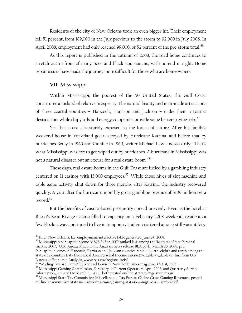Residents of the city of New Orleans took an even bigger hit. Their employment fell 51 percent, from 189,000 in the July previous to the storm to 92,000 in July 2006. In April 2008, employment had only reached 99,000, or 52 percent of the pre-storm total.<sup>49</sup>

As this report is published in the autumn of 2008, the road home continues to stretch out in front of many poor and black Louisianans, with no end in sight. Home repair issues have made the journey more difficult for those who are homeowners.

#### **VII. Mississippi**

 $\overline{a}$ 

Within Mississippi, the poorest of the 50 United States, the Gulf Coast constitutes an island of relative prosperity.The natural beauty and man-made attractions of three coastal counties – Hancock, Harrison and Jackson – make them a tourist destination, while shipyards and energy companies provide some better-paying jobs.<sup>50</sup>

Yet that coast sits starkly exposed to the forces of nature. After his family's weekend house in Waveland got destroyed by Hurricane Katrina, and before that by hurricanes Betsy in 1965 and Camille in 1969, writer Michael Lewis noted drily: "That's what Mississippi was for: to get wiped out by hurricanes. A hurricane in Mississippi was not a natural disaster but an excuse for a real estate boom."<sup>51</sup>

These days, real estate booms in the Gulf Coast are fueled by a gambling industry centered on 11 casinos with 13,000 employees.<sup>52</sup> While those hives of slot machine and table game activity shut down for three months after Katrina, the industry recovered quickly. A year after the hurricane, monthly gross gambling revenue of \$109 million set a record.<sup>53</sup>

But the benefits of casino-based prosperity spread unevenly. Even as the hotel at Biloxi's Beau Rivage Casino filled to capacity on a February 2008 weekend, residents a few blocks away continued to live in temporary trailers scattered among still-vacant lots.

<sup>50</sup> Mississippi's per capita income of \$28,845 in 2007 ranked last among the 50 states "State Personal Income 2007," U.S. Bureau of Economic Analysis news release BEA 08-11, March 26, 2008, p. 3. Per capita incomes in Hancock, Harrison and Jackson counties ranked fourth, eighth and tenth among the state's 82 counties Data from Local Area Personal Income interactive table available on-line from U.S.

Bureau of Economic Analysis, www.bea.gov/regional/reis/.<br><sup>51</sup> "Wading Toward Home" by Michael Lewis in New York Times magazine, Oct. 9, 2005.

<sup>&</sup>lt;sup>49</sup> Ibid., New Orleans, La., employment, interactive table generated June 24, 2008.

<sup>&</sup>lt;sup>52</sup> Mississippi Gaming Commission, Directory of Current Operators April 2008, and Quarterly Survey Information, January 1 to March 31, 2008, both posted on-line at www.mgc.state.ms.us.

<sup>53</sup> Mississippi State Tax Commission Miscellaneous Tax Bureau Casino Gross Gaming Revenues, posted on-line at www.mstc.state.ms.us/taxareas/misc/gaming/stats/GamingGrossRevenues.pdf.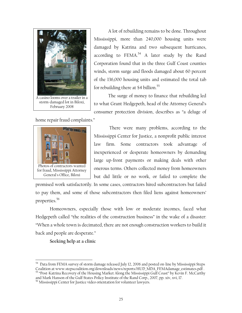

 A lot of rebuilding remains to be done. Throughout Mississippi, more than 240,000 housing units were damaged by Katrina and two subsequent hurricanes, according to  $FEMA.<sup>54</sup>$  A later study by the Rand Corporation found that in the three Gulf Coast counties winds, storm surge and floods damaged about 60 percent of the 136,000 housing units and estimated the total tab for rebuilding there at \$4 billion.<sup>55</sup>

The surge of money to finance that rebuilding led to what Grant Hedgepeth, head of the Attorney General's consumer protection division, describes as "a deluge of

home repair fraud complaints."



There were many problems, according to the Mississippi Center for Justice, a nonprofit public interest law firm. Some contractors took advantage of inexperienced or desperate homeowners by demanding large up-front payments or making deals with other onerous terms. Others collected money from homeowners but did little or no work, or failed to complete the

promised work satisfactorily. In some cases, contractors hired subcontractors but failed to pay them, and some of those subcontractors then filed liens against homeowners' properties.56

Homeowners, especially those with low or moderate incomes, faced what Hedgepeth called "the realities of the construction business" in the wake of a disaster: "When a whole town is decimated, there are not enough construction workers to build it back and people are desperate."

**Seeking help at a clinic** 

 $\overline{a}$ 

 $^{54}$  Data from FEMA survey of storm damage released July 12, 2006 and posted on-line by Mississippi Steps Coalition at www.stepscoalition.org/downloads/news/reports/HUD\_MDA\_FEMAdamage\_estimates.pdf . 55 "Post-Katrina Recovery of the Housing Market Along the Mississippi Gulf Coast" by Kevin F. McCarthy

and Mark Hanson of the Gulf States Policy Institute of the Rand Corp., 2007, pp. xiv, xvi, 17. 56 Mississippi Center for Justice video orientation for volunteer lawyers.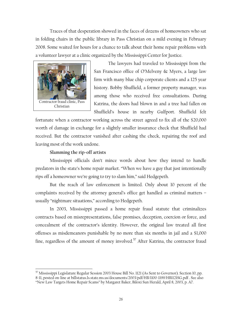Traces of that desperation showed in the faces of dozens of homeowners who sat in folding chairs in the public library in Pass Christian on a mild evening in February 2008. Some waited for hours for a chance to talk about their home repair problems with a volunteer lawyer at a clinic organized by the Mississippi Center for Justice.



 $\overline{a}$ 

The lawyers had traveled to Mississippi from the San Francisco office of O'Melveny & Myers, a large law firm with many blue chip corporate clients and a 125 year history. Bobby Shuffield, a former property manager, was among those who received free consultations. During Katrina, the doors had blown in and a tree had fallen on Shuffield's house in nearby Gulfport. Shuffield felt

fortunate when a contractor working across the street agreed to fix all of the \$20,000 worth of damage in exchange for a slightly smaller insurance check that Shuffield had received. But the contractor vanished after cashing the check, repairing the roof and leaving most of the work undone.

#### **Slamming the rip-off artists**

Mississippi officials don't mince words about how they intend to handle predators in the state's home repair market. "When we have a guy that just intentionally rips off a homeowner we're going to try to slam him," said Hedgepeth.

But the reach of law enforcement is limited. Only about 10 percent of the complaints received by the attorney general's office get handled as criminal matters – usually "nightmare situations," according to Hedgepeth.

In 2003, Mississippi passed a home repair fraud statute that criminalizes contracts based on misrepresentations, false promises, deception, coercion or force, and concealment of the contractor's identity. However, the original law treated all first offenses as misdemeanors punishable by no more than six months in jail and a \$1,000 fine, regardless of the amount of money involved.<sup>57</sup> After Katrina, the contractor fraud

 $^{57}$  Mississippi Legislature Regular Session 2003 House Bill No. 1121 (As Sent to Governor). Section 10, pp. 8-11, posted on-line at billstatus.ls.state.ms.us/documents/2003/pdf/HB/1100-1199/HB1121SG.pdf . See also "New Law Targets Home Repair Scams" by Margaret Baker, Biloxi Sun Herald, April 8, 2003, p. A7.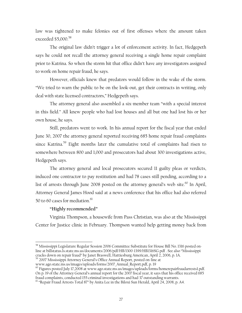law was tightened to make felonies out of first offenses where the amount taken exceeded \$5,000.<sup>58</sup>

The original law didn't trigger a lot of enforcement activity. In fact, Hedgepeth says he could not recall the attorney general receiving a single home repair complaint prior to Katrina. So when the storm hit that office didn't have any investigators assigned to work on home repair fraud, he says.

However, officials knew that predators would follow in the wake of the storm. "We tried to warn the public to be on the look-out, get their contracts in writing, only deal with state licensed contractors," Hedgepeth says.

The attorney general also assembled a six-member team "with a special interest in this field." All knew people who had lost houses and all but one had lost his or her own house, he says.

Still, predators went to work. In his annual report for the fiscal year that ended June 30, 2007 the attorney general reported receiving 685 home repair fraud complaints since Katrina.<sup>59</sup> Eight months later the cumulative total of complaints had risen to somewhere between 800 and 1,000 and prosecutors had about 300 investigations active, Hedgepeth says.

The attorney general and local prosecutors secured 11 guilty pleas or verdicts, induced one contractor to pay restitution and had 78 cases still pending, according to a list of arrests through June 2008 posted on the attorney general's web site. $60$  In April, Attorney General James Hood said at a news conference that his office had also referred 50 to 60 cases for mediation.<sup>61</sup>

#### **"Highly recommended"**

 $\overline{a}$ 

Virginia Thompson, a housewife from Pass Christian, was also at the Mississippi Center for Justice clinic in February. Thompson wanted help getting money back from

 $^{58}$  Mississippi Legislature Regular Session 2006 Committee Substitute for House Bill No. 1316 posted online at billstatus.ls.state.ms.us/documents/2006/pdf/HB/1300-1399/HB1316SG.pdf . See also "Mississippi

<sup>&</sup>lt;sup>59</sup> 2007 Mississippi Attorney General's Office Annual Report, posted on-line at

www.ago.state.ms.us/images/uploads/forms/2007\_Annual\_Report.pdf, p. 19<br><sup>60</sup> Figures posted July 17,2008 at www.ago.state.ms.us/images/uploads/forms/homerepairfraudarrests1.pdf. On p. 19 of the Attorney General's annual report for the 2007 fiscal year, it says that his office received 685 fraud complaints, conducted 155 criminal investigations and had 37 outstanding warrants.

<sup>&</sup>lt;sup>61</sup> "Repair Fraud Arrests Total 87" by Anita Lee in the Biloxi Sun Herald, April 24, 2008, p. A4.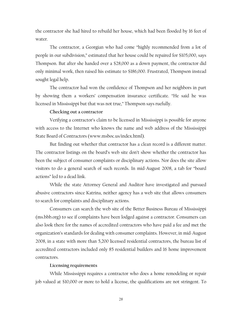the contractor she had hired to rebuild her house, which had been flooded by 16 feet of water.

The contractor, a Georgian who had come "highly recommended from a lot of people in our subdivision," estimated that her house could be repaired for \$105,000, says Thompson. But after she handed over a \$28,000 as a down payment, the contractor did only minimal work, then raised his estimate to \$186,000. Frustrated, Thompson instead sought legal help.

The contractor had won the confidence of Thompson and her neighbors in part by showing them a workers' compensation insurance certificate. "He said he was licensed in Mississippi but that was not true," Thompson says ruefully.

#### **Checking out a contractor**

Verifying a contractor's claim to be licensed in Mississippi is possible for anyone with access to the Internet who knows the name and web address of the Mississippi State Board of Contractors (www.msboc.us/index.html).

But finding out whether that contractor has a clean record is a different matter. The contractor listings on the board's web site don't show whether the contractor has been the subject of consumer complaints or disciplinary actions. Nor does the site allow visitors to do a general search of such records. In mid-August 2008, a tab for "board actions" led to a dead link.

While the state Attorney General and Auditor have investigated and pursued abusive contractors since Katrina, neither agency has a web site that allows consumers to search for complaints and disciplinary actions.

Consumers can search the web site of the Better Business Bureau of Mississippi (ms.bbb.org) to see if complaints have been lodged against a contractor. Consumers can also look there for the names of accredited contractors who have paid a fee and met the organization's standards for dealing with consumer complaints. However, in mid-August 2008, in a state with more than 5,200 licensed residential contractors, the bureau list of accredited contractors included only 85 residential builders and 16 home improvement contractors.

#### **Licensing requirements**

While Mississippi requires a contractor who does a home remodeling or repair job valued at \$10,000 or more to hold a license, the qualifications are not stringent. To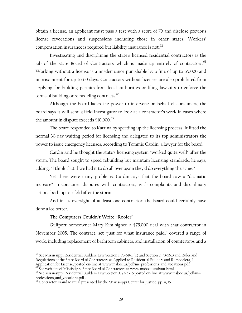obtain a license, an applicant must pass a test with a score of 70 and disclose previous license revocations and suspensions including those in other states. Workers' compensation insurance is required but liability insurance is not.<sup>62</sup>

Investigating and disciplining the state's licensed residential contractors is the job of the state Board of Contractors which is made up entirely of contractors.<sup>63</sup> Working without a license is a misdemeanor punishable by a fine of up to \$5,000 and imprisonment for up to 60 days. Contractors without licenses are also prohibited from applying for building permits from local authorities or filing lawsuits to enforce the terms of building or remodeling contracts.<sup>64</sup>

Although the board lacks the power to intervene on behalf of consumers, the board says it will send a field investigator to look at a contractor's work in cases where the amount in dispute exceeds \$10,000.<sup>65</sup>

The board responded to Katrina by speeding up the licensing process. It lifted the normal 30-day waiting period for licensing and delegated to its top administrators the power to issue emergency licenses, according to Tommie Cardin, a lawyer for the board.

Cardin said he thought the state's licensing system "worked quite well" after the storm. The board sought to speed rebuilding but maintain licensing standards, he says, adding: "I think that if we had it to do all over again they'd do everything the same."

Yet there were many problems. Cardin says that the board saw a "dramatic increase" in consumer disputes with contractors, with complaints and disciplinary actions both up ten-fold after the storm.

And in its oversight of at least one contractor, the board could certainly have done a lot better.

#### **The Computers Couldn't Write "Roofer"**

 $\overline{a}$ 

Gulfport homeowner Mary Kim signed a \$75,000 deal with that contractor in November 2005. The contract, set "just for what insurance paid," covered a range of work, including replacement of bathroom cabinets, and installation of countertops and a

 $62$  See Mississippi Residential Builders Law Section 1. 73-59-1 (c) and Section 2. 73-59.3 and Rules and Regulations of the State Board of Contractors as Applied to Residential Builders and Remodelers, I. Application for License, posted on-line at www.msboc.us/pdf/ms-professions\_and\_vocations.pdf .<br><sup>63</sup> See web site of Mississippi State Board of Contractors at www.msboc.us/about.html .

<sup>64</sup> See Mississippi Residential Builders Law Section 3. 73-59-5 posted on-line at www.msboc.us/pdf/msprofessions\_and\_vocations.pdf .

 $^{65}$  Contractor Fraud Manual presented by the Mississippi Center for Justice, pp. 4, 15.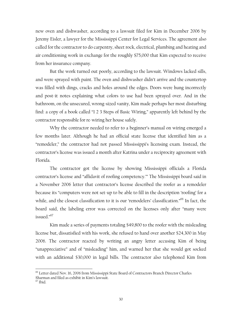new oven and dishwasher, according to a lawsuit filed for Kim in December 2006 by Jeremy Eisler, a lawyer for the Mississippi Center for Legal Services. The agreement also called for the contractor to do carpentry, sheet rock, electrical, plumbing and heating and air conditioning work in exchange for the roughly \$75,000 that Kim expected to receive from her insurance company.

But the work turned out poorly, according to the lawsuit. Windows lacked sills, and were sprayed with paint. The oven and dishwasher didn't arrive and the countertop was filled with dings, cracks and holes around the edges. Doors were hung incorrectly and post-it notes explaining what colors to use had been sprayed over. And in the bathroom, on the unsecured, wrong-sized vanity, Kim made perhaps her most disturbing find: a copy of a book called "1 2 3 Steps of Basic Wiring," apparently left behind by the contractor responsible for re-wiring her house safely.

Why the contractor needed to refer to a beginner's manual on wiring emerged a few months later. Although he had an official state license that identified him as a "remodeler," the contractor had not passed Mississippi's licensing exam. Instead, the contractor's license was issued a month after Katrina under a reciprocity agreement with Florida.

The contractor got the license by showing Mississippi officials a Florida contractor's license and "affidavit of roofing competency.'" The Mississippi board said in a November 2006 letter that contractor's license described the roofer as a remodeler because its "computers were not set-up to be able to fill in the description 'roofing' for a while, and the closest classification to it is our 'remodelers' classification."66 In fact, the board said, the labeling error was corrected on the licenses only after "many were issued."67

Kim made a series of payments totaling \$49,800 to the roofer with the misleading license but, dissatisfied with his work, she refused to hand over another \$24,300 in May 2006. The contractor reacted by writing an angry letter accusing Kim of being "unappreciative" and of "misleading" him, and warned her that she would got socked with an additional \$30,000 in legal bills. The contractor also telephoned Kim from

 $\overline{a}$ 

<sup>66</sup> Letter dated Nov. 16, 2006 from Mississippi State Board of Contractors Branch Director Charles Sharman and filed as exhibit in Kim's lawsuit.

 $^{67}$  Ibid.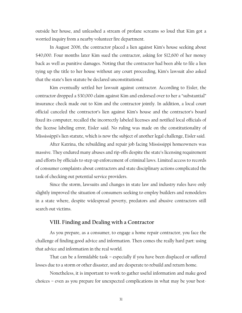outside her house, and unleashed a stream of profane screams so loud that Kim got a worried inquiry from a nearby volunteer fire department.

In August 2006, the contractor placed a lien against Kim's house seeking about \$40,000. Four months later Kim sued the contractor, asking for \$12,600 of her money back as well as punitive damages. Noting that the contractor had been able to file a lien tying up the title to her house without any court proceeding, Kim's lawsuit also asked that the state's lien statute be declared unconstitutional.

Kim eventually settled her lawsuit against contractor. According to Eisler, the contractor dropped a \$30,000 claim against Kim and endorsed over to her a "substantial" insurance check made out to Kim and the contractor jointly. In addition, a local court official canceled the contractor's lien against Kim's house and the contractor's board fixed its computer, recalled the incorrectly labeled licenses and notified local officials of the license labeling error, Eisler said. No ruling was made on the constitutionality of Mississippi's lien statute, which is now the subject of another legal challenge, Eisler said.

After Katrina, the rebuilding and repair job facing Mississippi homeowners was massive. They endured many abuses and rip-offs despite the state's licensing requirement and efforts by officials to step up enforcement of criminal laws. Limited access to records of consumer complaints about contractors and state disciplinary actions complicated the task of checking out potential service providers.

Since the storm, lawsuits and changes in state law and industry rules have only slightly improved the situation of consumers seeking to employ builders and remodelers in a state where, despite widespread poverty, predators and abusive contractors still search out victims.

## **VIII. Finding and Dealing with a Contractor**

As you prepare, as a consumer, to engage a home repair contractor, you face the challenge of finding good advice and information. Then comes the really hard part: using that advice and information in the real world.

That can be a formidable task – especially if you have been displaced or suffered losses due to a storm or other disaster, and are desperate to rebuild and return home.

Nonetheless, it is important to work to gather useful information and make good choices – even as you prepare for unexpected complications in what may be your best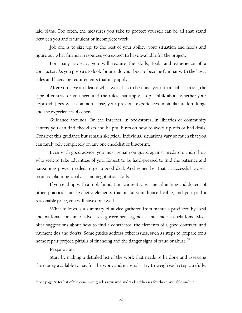laid plans. Too often, the measures you take to protect yourself can be all that stand between you and fraudulent or incomplete work.

Job one is to size up, to the best of your ability, your situation and needs and figure out what financial resources you expect to have available for the project.

For many projects, you will require the skills, tools and experience of a contractor. As you prepare to look for one, do your best to become familiar with the laws, rules and licensing requirements that may apply.

After you have an idea of what work has to be done, your financial situation, the type of contractor you need and the rules that apply, stop. Think about whether your approach jibes with common sense, your previous experiences in similar undertakings and the experiences of others.

Guidance abounds. On the Internet, in bookstores, in libraries or community centers you can find checklists and helpful hints on how to avoid rip-offs or bad deals. Consider this guidance but remain skeptical. Individual situations vary so much that you can rarely rely completely on any one checklist or blueprint.

Even with good advice, you must remain on guard against predators and others who seek to take advantage of you. Expect to be hard-pressed to find the patience and bargaining power needed to get a good deal. And remember that a successful project requires planning, analysis and negotiation skills.

If you end up with a roof, foundation, carpentry, wiring, plumbing and dozens of other practical and aesthetic elements that make your house livable, and you paid a reasonable price, you will have done well.

What follows is a summary of advice gathered from manuals produced by local and national consumer advocates, government agencies and trade associations. Most offer suggestions about how to find a contractor, the elements of a good contract, and payment dos and don'ts. Some guides address other issues, such as steps to prepare for a home repair project, pitfalls of financing and the danger signs of fraud or abuse.<sup>68</sup>

#### **Preparation**

 $\overline{a}$ 

Start by making a detailed list of the work that needs to be done and assessing the money available to pay for the work and materials. Try to weigh each step carefully,

<sup>&</sup>lt;sup>68</sup> See page 36 for list of the consumer guides reviewed and web addresses for those available on-line.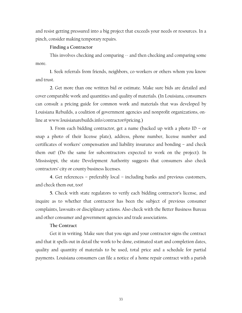and resist getting pressured into a big project that exceeds your needs or resources. In a pinch, consider making temporary repairs.

#### **Finding a Contractor**

This involves checking and comparing  $\sim$  and then checking and comparing some more.

**1.** Seek referrals from friends, neighbors, co-workers or others whom you know and trust.

**2.** Get more than one written bid or estimate. Make sure bids are detailed and cover comparable work and quantities and quality of materials. (In Louisiana, consumers can consult a pricing guide for common work and materials that was developed by Louisiana Rebuilds, a coalition of government agencies and nonprofit organizations, online at www.louisianarebuilds.info/contractor#pricing.)

**3.** From each bidding contractor, get a name (backed up with a photo ID – or snap a photo of their license plate), address, phone number, license number and certificates of workers' compensation and liability insurance and bonding – and check them out! (Do the same for subcontractors expected to work on the project). In Mississippi, the state Development Authority suggests that consumers also check contractors' city or county business licenses.

**4.** Get references – preferably local – including banks and previous customers, and check them out, too!

**5.** Check with state regulators to verify each bidding contractor's license, and inquire as to whether that contractor has been the subject of previous consumer complaints, lawsuits or disciplinary actions. Also check with the Better Business Bureau and other consumer and government agencies and trade associations.

#### **The Contract**

Get it in writing. Make sure that you sign and your contractor signs the contract and that it spells out in detail the work to be done, estimated start and completion dates, quality and quantity of materials to be used, total price and a schedule for partial payments. Louisiana consumers can file a notice of a home repair contract with a parish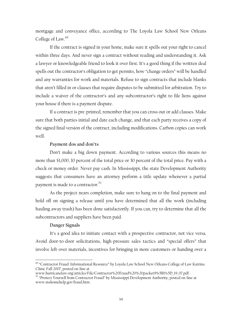mortgage and conveyance office, according to The Loyola Law School New Orleans College of Law.<sup>69</sup>

If the contract is signed in your home, make sure it spells out your right to cancel within three days. And never sign a contract without reading and understanding it. Ask a lawyer or knowledgeable friend to look it over first. It's a good thing if the written deal spells out the contractor's obligation to get permits, how "change orders" will be handled and any warranties for work and materials. Refuse to sign contracts that include blanks that aren't filled in or clauses that require disputes to be submitted for arbitration. Try to include a waiver of the contractor's and any subcontractor's right to file liens against your house if there is a payment dispute.

If a contract is pre-printed, remember that you can cross out or add clauses. Make sure that both parties initial and date each change, and that each party receives a copy of the signed final version of the contract, including modifications. Carbon copies can work well.

#### **Payment dos and don'ts**

Don't make a big down payment. According to various sources this means no more than \$1,000, 10 percent of the total price or 30 percent of the total price. Pay with a check or money order. Never pay cash. In Mississippi, the state Development Authority suggests that consumers have an attorney perform a title update whenever a partial payment is made to a contractor. $70$ 

As the project nears completion, make sure to hang on to the final payment and hold off on signing a release until you have determined that all the work (including hauling away trash) has been done satisfactorily. If you can, try to determine that all the subcontractors and suppliers have been paid.

#### **Danger Signals**

1

It's a good idea to initiate contact with a prospective contractor, not vice versa. Avoid door-to-door solicitations, high-pressure sales tactics and "special offers" that involve left-over materials, incentives for bringing in more customers or handing over a

<sup>&</sup>lt;sup>69</sup> "Contractor Fraud: Informational Resource" by Loyola Law School New Orleans College of Law Katrina Clinic Fall 2007, posted on-line at

www.hurricanelaw.org/articles/File/Contractor%20Fraud%20%20packet9%5B1%5D\_19\_07.pdf . 70 "Protect Yourself from Contractor Fraud" by Mississippi Development Authority, posted on-line at www.mshomehelp.gov/fraud.htm .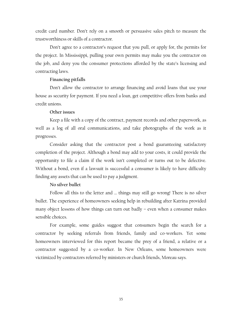credit card number. Don't rely on a smooth or persuasive sales pitch to measure the trustworthiness or skills of a contractor.

Don't agree to a contractor's request that you pull, or apply for, the permits for the project. In Mississippi, pulling your own permits may make you the contractor on the job, and deny you the consumer protections afforded by the state's licensing and contracting laws.

#### **Financing pitfalls**

Don't allow the contractor to arrange financing and avoid loans that use your house as security for payment. If you need a loan, get competitive offers from banks and credit unions.

#### **Other issues**

Keep a file with a copy of the contract, payment records and other paperwork, as well as a log of all oral communications, and take photographs of the work as it progresses.

Consider asking that the contractor post a bond guaranteeing satisfactory completion of the project. Although a bond may add to your costs, it could provide the opportunity to file a claim if the work isn't completed or turns out to be defective. Without a bond, even if a lawsuit is successful a consumer is likely to have difficulty finding any assets that can be used to pay a judgment.

#### **No silver bullet**

Follow all this to the letter and … things may still go wrong! There is no silver bullet. The experience of homeowners seeking help in rebuilding after Katrina provided many object lessons of how things can turn out badly – even when a consumer makes sensible choices.

For example, some guides suggest that consumers begin the search for a contractor by seeking referrals from friends, family and co-workers. Yet some homeowners interviewed for this report became the prey of a friend, a relative or a contractor suggested by a co-worker. In New Orleans, some homeowners were victimized by contractors referred by ministers or church friends, Moreau says.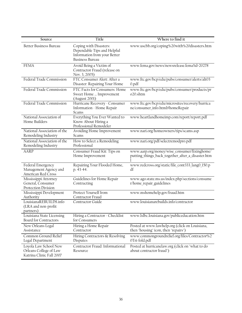| Source                                                                      | Title                                                                                                           | Where to find it                                                                                  |
|-----------------------------------------------------------------------------|-----------------------------------------------------------------------------------------------------------------|---------------------------------------------------------------------------------------------------|
| <b>Better Business Bureau</b>                                               | Coping with Disasters:<br>Dependable Tips and Helpful<br>Information from your Better<br><b>Business Bureau</b> | www.uscbb.org/coping%20with%20disasters.htm                                                       |
| <b>FEMA</b>                                                                 | Avoid Being a Victim of<br>Contractor Fraud (release on<br>Nov. 3, 2005)                                        | www.fema.gov/news/newsrelease.fema?id=20278                                                       |
| Federal Trade Commission                                                    | FTC Consumer Alert: After a<br>Disaster: Repairing Your Home                                                    | www.ftc.gov/bcp/edu/pubs/consumer/alerts/alt03<br>0.pdf                                           |
| Federal Trade Commission                                                    | FTC Facts for Consumers: Home<br>Sweet Home  Improvement<br>(August 2001)                                       | www.ftc.gov/bcp/edu/pubs/consumer/products/pr<br>o20.shtm                                         |
| Federal Trade Commission                                                    | Hurricane Recovery - Consumer<br>Information - Home Repair<br>Scams                                             | www.ftc.gov/bcp/edu/microsites/recovery/hurrica<br>ne/consumer_info.html#homeRepair               |
| National Association of<br>Home Builders                                    | Everything You Ever Wanted to<br>Know About Hiring a<br>Professional Remodeler                                  | www.heartlandhomeimp.com/report/report.pdf                                                        |
| National Association of the<br>Remodeling Industry                          | Avoiding Home Improvement<br>Scams                                                                              | www.nari.org/homeowners/tips/scams.asp                                                            |
| National Association of the<br>Remodeling Industry                          | How to Select a Remodeling<br>Professional                                                                      | www.nari.org/pdf/selectremodpro.pdf                                                               |
| <b>AARP</b>                                                                 | Consumer Fraud Kit: Tips on<br>Home Improvement                                                                 | www.aarp.org/money/wise_consumer/fixinghome/<br>putting_things_back_together_after_a_disaster.htm |
| Federal Emergency<br>Management Agency and<br>American Red Cross            | Repairing Your Flooded Home,<br>p. 43-44.                                                                       | www.redcross.org/static/file_cont333_lang0_150.p<br>df                                            |
| Mississippi Attorney<br>General, Consumer<br>Protection Division            | Guidelines for Home Repair<br>Contracting                                                                       | www.ago.state.ms.us/index.php/sections/consume<br>r/home_repair_guidelines                        |
| Mississippi Development<br>Authority                                        | Protect Yourself from<br>Contractor Fraud                                                                       | www.mshomehelp.gov/fraud.htm                                                                      |
| LouisianaREBUILDS.info<br>(LRA and non-profit<br>partners)                  | Contractor Guide                                                                                                | www.louisianarebuilds.info/contractor                                                             |
| Louisiana State Licensing<br>Board for Contractors                          | Hiring a Contractor - Checklist<br>for Consumers                                                                | www.lslbc.louisiana.gov/publiceducation.htm                                                       |
| New Orleans Legal<br>Assistance                                             | Hiring a Home Repair<br>Contractor                                                                              | Posted at www.lawhelp.org (click on Louisiana,<br>then "housing" icon, then "repairs")            |
| Common Ground Relief<br>Legal Department                                    | Hiring Contractors & Resolving<br>Disputes                                                                      | www.commongroundrelief.org/files/Contractor%2<br>0Tri-fold.pdf                                    |
| Loyola Law School New<br>Orleans College of Law<br>Katrina Clinic Fall 2007 | Contractor Fraud: Informational<br>Resource                                                                     | Posted at hurricanelaw.org (click on "what to do<br>about contractor fraud")                      |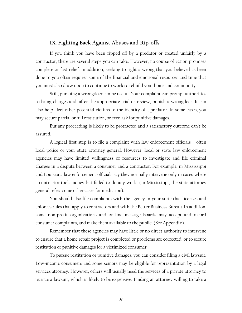# **IX. Fighting Back Against Abuses and Rip-offs**

If you think you have been ripped off by a predator or treated unfairly by a contractor, there are several steps you can take. However, no course of action promises complete or fast relief. In addition, seeking to right a wrong that you believe has been done to you often requires some of the financial and emotional resources and time that you must also draw upon to continue to work to rebuild your home and community.

Still, pursuing a wrongdoer can be useful. Your complaint can prompt authorities to bring charges and, after the appropriate trial or review, punish a wrongdoer. It can also help alert other potential victims to the identity of a predator. In some cases, you may secure partial or full restitution, or even ask for punitive damages.

But any proceeding is likely to be protracted and a satisfactory outcome can't be assured.

A logical first step is to file a complaint with law enforcement officials – often local police or your state attorney general. However, local or state law enforcement agencies may have limited willingness or resources to investigate and file criminal charges in a dispute between a consumer and a contractor. For example, in Mississippi and Louisiana law enforcement officials say they normally intervene only in cases where a contractor took money but failed to do any work. (In Mississippi, the state attorney general refers some other cases for mediation).

You should also file complaints with the agency in your state that licenses and enforces rules that apply to contractors and with the Better Business Bureau. In addition, some non-profit organizations and on-line message boards may accept and record consumer complaints, and make them available to the public. (See Appendix).

Remember that these agencies may have little or no direct authority to intervene to ensure that a home repair project is completed or problems are corrected, or to secure restitution or punitive damages for a victimized consumer.

To pursue restitution or punitive damages, you can consider filing a civil lawsuit. Low-income consumers and some seniors may be eligible for representation by a legal services attorney. However, others will usually need the services of a private attorney to pursue a lawsuit, which is likely to be expensive. Finding an attorney willing to take a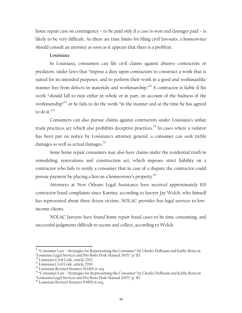home repair case on contingency – to be paid only if a case is won and damages paid – is likely to be very difficult. As there are time limits for filing civil lawsuits, a homeowner should consult an attorney as soon as it appears that there is a problem.

#### **Louisiana**

In Louisiana, consumers can file civil claims against abusive contractors or predators. under laws that "impose a duty upon contractors to construct a work that is suited for its intended purposes, and to perform their work in a good and workmanlike manner free from defects in materials and workmanship. $n^7$  A contractor is liable if his work "should fall to ruin either in whole or in part, on account of the badness of the workmanship"<sup>72</sup> or he fails to do the work "in the manner and at the time he has agreed to do it." $^{73}$ 

Consumers can also pursue claims against contractors under Louisiana's unfair trade practices act which also prohibits deceptive practices.<sup>74</sup> In cases where a violator has been put on notice by Louisiana's attorney general, a consumer can seek treble damages as well as actual damages.<sup>75</sup>

Some home repair consumers may also have claims under the residential truth in remodeling, renovations and construction act, which imposes strict liability on a contractor who fails to notify a consumer that in case of a dispute the contractor could pursue payment by placing a lien on a homeowner's property.<sup>76</sup>

Attorneys at New Orleans Legal Assistance have received approximately 100 contractor fraud complaints since Katrina, according to lawyer Jay Welch, who himself has represented about three dozen victims. NOLAC provides free legal services to lowincome clients.

NOLAC lawyers have found home repair fraud cases to be time consuming, and successful judgments difficult to secure and collect, according to Welch.

 $\overline{a}$ 

 $71$  "Consumer Law – Strategies for Representing the Consumer" by Charles Delbaum and Kathy Roux in "Louisiana Legal Services and Pro Bono Desk Manual 2005," p. 113.

<sup>72</sup> Louisiana Civil Code, article 2762.

<sup>73</sup> Louisiana Civil Code, article 2769.

<sup>74</sup> Louisiana Revised Statutes 51:1401 et seq.

<sup>75 &</sup>quot;Consumer Law – Strategies for Representing the Consumer" by Charles Delbaum and Kathy Roux in "Louisiana Legal Services and Pro Bono Desk Manual 2005," p. 40.

<sup>76</sup> Louisiana Revised Statutes 9:4851 et seq.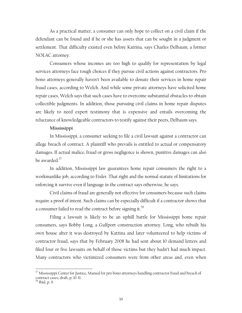As a practical matter, a consumer can only hope to collect on a civil claim if the defendant can be found and if he or she has assets that can be sought in a judgment or settlement. That difficulty existed even before Katrina, says Charles Delbaum, a former NOLAC attorney.

Consumers whose incomes are too high to qualify for representation by legal services attorneys face tough choices if they pursue civil actions against contractors. Pro bono attorneys generally haven't been available to donate their services in home repair fraud cases, according to Welch. And while some private attorneys have solicited home repair cases, Welch says that such cases have to overcome substantial obstacles to obtain collectible judgments. In addition, those pursuing civil claims in home repair disputes are likely to need expert testimony that is expensive and entails overcoming the reluctance of knowledgeable contractors to testify against their peers, Delbaum says.

#### **Mississippi**

In Mississippi, a consumer seeking to file a civil lawsuit against a contractor can allege breach of contract. A plaintiff who prevails is entitled to actual or compensatory damages. If actual malice, fraud or gross negligence is shown, punitive damages can also be awarded.77

In addition, Mississippi law guarantees home repair consumers the right to a workmanlike job, according to Eisler. That right and the normal statute of limitations for enforcing it survive even if language in the contract says otherwise, he says.

Civil claims of fraud are generally not effective for consumers because such claims require a proof of intent. Such claims can be especially difficult if a contractor shows that a consumer failed to read the contract before signing it.<sup>78</sup>

Filing a lawsuit is likely to be an uphill battle for Mississippi home repair consumers, says Bobby Long, a Gulfport construction attorney. Long, who rebuilt his own house after it was destroyed by Katrina and later volunteered to help victims of contractor fraud, says that by February 2008 he had sent about 10 demand letters and filed four or five lawsuits on behalf of those victims but they hadn't had much impact. Many contractors who victimized consumers were from other areas and, even when

 $\overline{a}$ 

 $^{77}$  Mississippi Center for Justice, Manual for pro bono attorneys handling contractor fraud and breach of contract cases, draft, p. 10-11.

<sup>78</sup> Ibid, p. 9.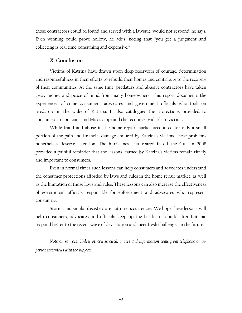those contractors could be found and served with a lawsuit, would not respond, he says. Even winning could prove hollow, he adds, noting that "you get a judgment and collecting is real time-consuming and expensive."

#### **X. Conclusion**

Victims of Katrina have drawn upon deep reservoirs of courage, determination and resourcefulness in their efforts to rebuild their homes and contribute to the recovery of their communities. At the same time, predators and abusive contractors have taken away money and peace of mind from many homeowners. This report documents the experiences of some consumers, advocates and government officials who took on predators in the wake of Katrina. It also catalogues the protections provided to consumers in Louisiana and Mississippi and the recourse available to victims.

While fraud and abuse in the home repair market accounted for only a small portion of the pain and financial damage endured by Katrina's victims, these problems nonetheless deserve attention. The hurricanes that roared in off the Gulf in 2008 provided a painful reminder that the lessons learned by Katrina's victims remain timely and important to consumers.

Even in normal times such lessons can help consumers and advocates understand the consumer protections afforded by laws and rules in the home repair market, as well as the limitation of those laws and rules. These lessons can also increase the effectiveness of government officials responsible for enforcement and advocates who represent consumers.

Storms and similar disasters are not rare occurrences. We hope these lessons will help consumers, advocates and officials keep up the battle to rebuild after Katrina, respond better to the recent wave of devastation and meet fresh challenges in the future.

*Note on sources: Unless otherwise cited, quotes and information come from telephone or inperson interviews with the subjects.*